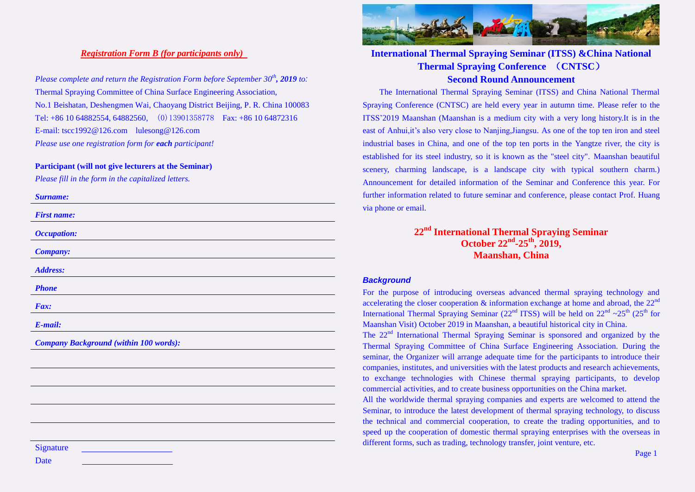## *Registration Form B (for participants only)*

*Please complete and return the Registration Form before September 30th , 2019 to:*  Thermal Spraying Committee of China Surface Engineering Association, No.1 Beishatan, Deshengmen Wai, Chaoyang District Beijing, P. R. China 100083 Tel: +86 10 64882554, 64882560, (0)13901358778 Fax: +86 10 64872316 E-mail: tscc1992@126.com lulesong@126.com *Please use one registration form for each participant!* 

#### **Participant (will not give lecturers at the Seminar)**

*Please fill in the form in the capitalized letters.*

| <b>Surname:</b>                               |
|-----------------------------------------------|
| <b>First name:</b>                            |
| <b>Occupation:</b>                            |
| <b>Company:</b>                               |
| <b>Address:</b>                               |
| <b>Phone</b>                                  |
| Fax:                                          |
| E-mail:                                       |
| <b>Company Background (within 100 words):</b> |
|                                               |
|                                               |
|                                               |
|                                               |
|                                               |
| Signature                                     |
| Date                                          |



# **International Thermal Spraying Seminar (ITSS) &China National Thermal Spraying Conference** (**CNTSC**) **Second Round Announcement**

The International Thermal Spraying Seminar (ITSS) and China National Thermal Spraying Conference (CNTSC) are held every year in autumn time. Please refer to the ITSS'2019 Maanshan (Maanshan is a medium city with a very long history.It is in the east of Anhui,it's also very close to Nanjing,Jiangsu. As one of the top ten iron and steel industrial bases in China, and one of the top ten ports in the Yangtze river, the city is established for its steel industry, so it is known as the "steel city". Maanshan beautiful scenery, charming landscape, is a landscape city with typical southern charm.) Announcement for detailed information of the Seminar and Conference this year. For further information related to future seminar and conference, please contact Prof. Huang via phone or email.

# **22 nd International Thermal Spraying Seminar October 22 nd -25 th , 2019, Maanshan, China**

## *Background*

For the purpose of introducing overseas advanced thermal spraying technology and accelerating the closer cooperation  $\&$  information exchange at home and abroad, the  $22^{\text{nd}}$ International Thermal Spraying Seminar (22<sup>nd</sup> ITSS) will be held on  $22<sup>nd</sup> \sim 25<sup>th</sup>$  (25<sup>th</sup> for Maanshan Visit) October 2019 in Maanshan, a beautiful historical city in China.

The 22<sup>nd</sup> International Thermal Spraying Seminar is sponsored and organized by the Thermal Spraying Committee of China Surface Engineering Association. During the seminar, the Organizer will arrange adequate time for the participants to introduce their companies, institutes, and universities with the latest products and research achievements, to exchange technologies with Chinese thermal spraying participants, to develop commercial activities, and to create business opportunities on the China market.

All the worldwide thermal spraying companies and experts are welcomed to attend the Seminar, to introduce the latest development of thermal spraying technology, to discuss the technical and commercial cooperation, to create the trading opportunities, and to speed up the cooperation of domestic thermal spraying enterprises with the overseas in different forms, such as trading, technology transfer, joint venture, etc.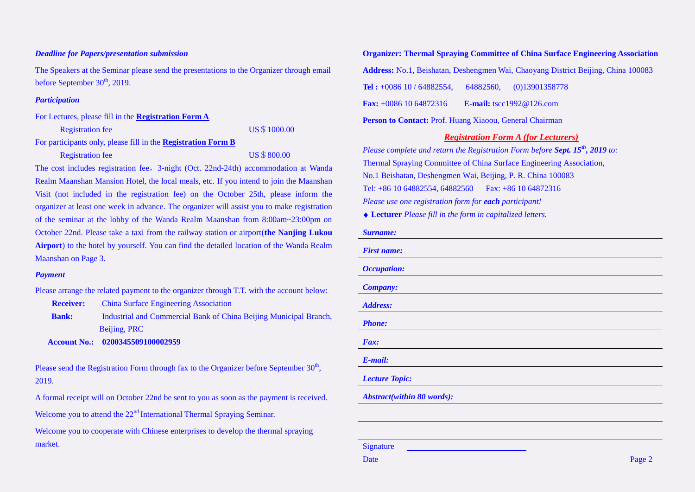#### *Deadline for Papers/presentation submission*

The Speakers at the Seminar please send the presentations to the Organizer through email before September 30<sup>th</sup>, 2019.

#### *Participation*

For Lectures, please fill in the **[Registration Form A](file:///F:/F盘/热喷涂2015/2017年/2017沈阳会议/会议通知/AppData/Local/Microsoft/Windows/2016年/2016长沙会议/长沙会议通知/2016长沙热喷涂会议通知/2016年长沙会议/2016年长沙会议通知/英文通知/CQ-frmA.htm)**

Registration fee US\$1000.00

For participants only, please fill in the **[Registration Form B](file:///F:/F盘/热喷涂2015/2017年/2017沈阳会议/会议通知/AppData/Local/Microsoft/Windows/2016年/2016长沙会议/长沙会议通知/2016长沙热喷涂会议通知/2016年长沙会议/2016年长沙会议通知/英文通知/CQ-frmB.htm)**

Registration fee US\$800.00

The cost includes registration fee,3-night (Oct. 22nd-24th) accommodation at Wanda Realm Maanshan Mansion Hotel, the local meals, etc. If you intend to join the Maanshan Visit (not included in the registration fee) on the October 25th, please inform the organizer at least one week in advance. The organizer will assist you to make registration of the seminar at the lobby of the Wanda Realm Maanshan from 8:00am~23:00pm on October 22nd. Please take a taxi from the railway station or airport(**the Nanjing Lukou Airport**) to the hotel by yourself. You can find the detailed location of the Wanda Realm Maanshan on Page 3.

#### *Payment*

Please arrange the related payment to the organizer through T.T. with the account below:

**Receiver:** China Surface Engineering Association

**Bank:** Industrial and Commercial Bank of China Beijing Municipal Branch, Beijing, PRC

 **Account No.: 0200345509100002959**

Please send the Registration Form through fax to the Organizer before September  $30<sup>th</sup>$ , 2019.

A formal receipt will on October 22nd be sent to you as soon as the payment is received.

Welcome you to attend the  $22<sup>nd</sup>$  International Thermal Spraying Seminar.

Welcome you to cooperate with Chinese enterprises to develop the thermal spraying market.

**Organizer: Thermal Spraying Committee of China Surface Engineering Association Address:** No.1, Beishatan, Deshengmen Wai, Chaoyang District Beijing, China 100083 **Tel :** +0086 10 / 64882554, 64882560, (0)13901358778 **Fax:** +0086 10 64872316 **E-mail:** tscc1992@126.com **Person to Contact:** Prof. Huang Xiaoou, General Chairman

### *Registration Form A (for Lecturers)*

*Please complete and return the Registration Form before Sept. 15th , 2019 to:*  Thermal Spraying Committee of China Surface Engineering Association, No.1 Beishatan, Deshengmen Wai, Beijing, P. R. China 100083 Tel: +86 10 64882554, 64882560 Fax: +86 10 64872316 *Please use one registration form for each participant!* **Lecturer** *Please fill in the form in capitalized letters.*

#### *Surname:*

| <b>First name:</b>         |  |
|----------------------------|--|
| <b>Occupation:</b>         |  |
| <b>Company:</b>            |  |
| Address:                   |  |
| <b>Phone:</b>              |  |
| Fax:                       |  |
| E-mail:                    |  |
| <b>Lecture Topic:</b>      |  |
| Abstract(within 80 words): |  |
|                            |  |
|                            |  |

**Signature**